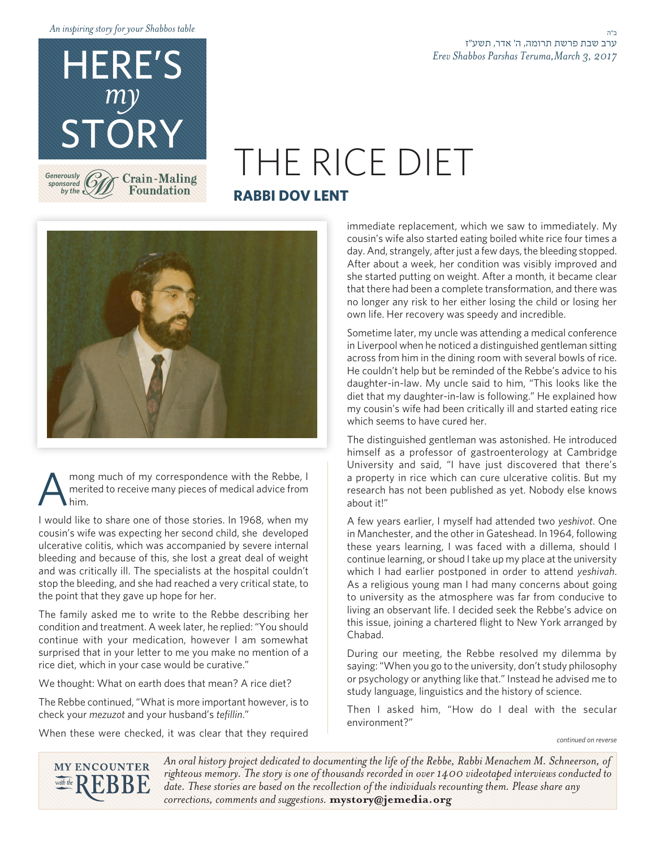*table Shabbos your for story inspiring An*

HERE'S

*my*

*Generously* sponsored<sup>(</sup>O) by the  $\epsilon$ 

# STORY<br>THE RICE DIET **RABBI DOV LENT**



**Foundation** 

mong much of my correspondence with the Rebbe, I merited to receive many pieces of medical advice from him. merited to receive many pieces of medical advice from .him

I would like to share one of those stories. In 1968, when my cousin's wife was expecting her second child, she developed ulcerative colitis, which was accompanied by severe internal bleeding and because of this, she lost a great deal of weight and was critically ill. The specialists at the hospital couldn't stop the bleeding, and she had reached a very critical state, to the point that they gave up hope for her.

The family asked me to write to the Rebbe describing her condition and treatment. A week later, he replied: "You should continue with your medication, however I am somewhat surprised that in your letter to me you make no mention of a rice diet, which in your case would be curative."

We thought: What on earth does that mean? A rice diet?

The Rebbe continued, "What is more important however, is to check your *mezuzot* and your husband's tefillin."

When these were checked, it was clear that they required

immediate replacement, which we saw to immediately. My cousin's wife also started eating boiled white rice four times a day. And, strangely, after just a few days, the bleeding stopped. After about a week, her condition was visibly improved and she started putting on weight. After a month, it became clear that there had been a complete transformation, and there was no longer any risk to her either losing the child or losing her own life. Her recovery was speedy and incredible.

Sometime later, my uncle was attending a medical conference in Liverpool when he noticed a distinguished gentleman sitting across from him in the dining room with several bowls of rice. He couldn't help but be reminded of the Rebbe's advice to his daughter-in-law. My uncle said to him, "This looks like the diet that my daughter-in-law is following." He explained how my cousin's wife had been critically ill and started eating rice which seems to have cured her.

The distinguished gentleman was astonished. He introduced himself as a professor of gastroenterology at Cambridge University and said, "I have just discovered that there's a property in rice which can cure ulcerative colitis. But my research has not been published as yet. Nobody else knows about it!"

A few years earlier, I myself had attended two yeshivot. One in Manchester, and the other in Gateshead. In 1964, following these years learning, I was faced with a dillema, should I continue learning, or shoud I take up my place at the university which I had earlier postponed in order to attend yeshivah. As a religious young man I had many concerns about going to university as the atmosphere was far from conducive to living an observant life. I decided seek the Rebbe's advice on this issue, joining a chartered flight to New York arranged by .Chabad

During our meeting, the Rebbe resolved my dilemma by saying: "When you go to the university, don't study philosophy or psychology or anything like that." Instead he advised me to study language, linguistics and the history of science.

Then I asked him, "How do I deal with the secular environment?"

*reverse on continued*

**MY ENCOUNTER** with the  $\mathbb{R}$ 

An oral history project dedicated to documenting the life of the Rebbe, Rabbi Menachem M. Schneerson, of righteous memory. The story is one of thousands recorded in over 1400 videotaped interviews conducted to date. These stories are based on the recollection of the individuals recounting them. Please share any corrections, comments and suggestions. mystory@jemedia.org